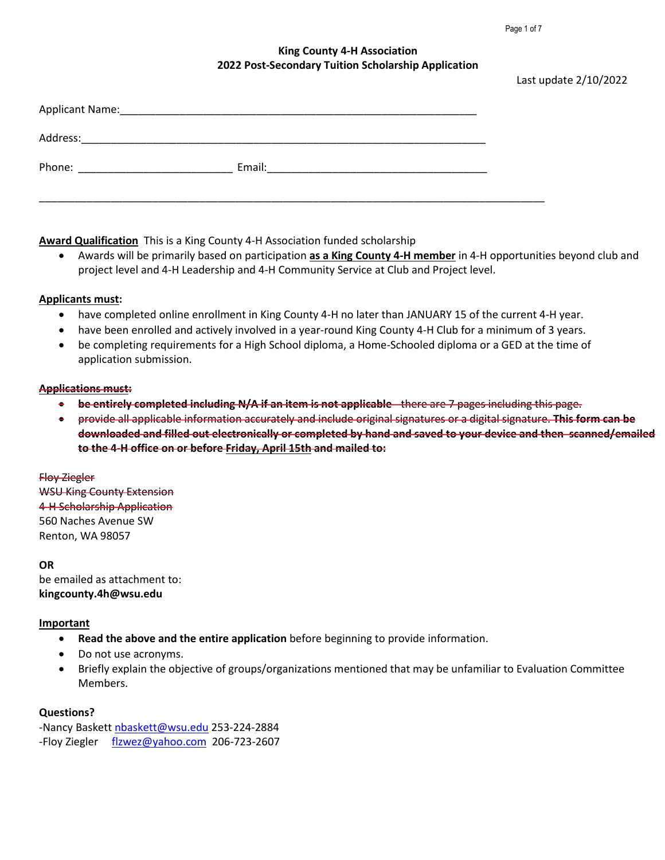Page 1 of 7

Last update 2/10/2022

### **King County 4-H Association 2022 Post-Secondary Tuition Scholarship Application**

| Address: |        |                                                                                                                      |  |
|----------|--------|----------------------------------------------------------------------------------------------------------------------|--|
| Phone:   | Email: | <u> 1980 - Jan Stein Stein Stein Stein Stein Stein Stein Stein Stein Stein Stein Stein Stein Stein Stein Stein S</u> |  |
|          |        |                                                                                                                      |  |

**Award Qualification** This is a King County 4-H Association funded scholarship

• Awards will be primarily based on participation **as a King County 4-H member** in 4-H opportunities beyond club and project level and 4-H Leadership and 4-H Community Service at Club and Project level.

#### **Applicants must:**

- have completed online enrollment in King County 4-H no later than JANUARY 15 of the current 4-H year.
- have been enrolled and actively involved in a year-round King County 4-H Club for a minimum of 3 years.
- be completing requirements for a High School diploma, a Home-Schooled diploma or a GED at the time of application submission.

#### **Applications must:**

- **be entirely completed including N/A if an item is not applicable** there are 7 pages including this page.
- provide all applicable information accurately and include original signatures or a digital signature. **This form can be downloaded and filled out electronically or completed by hand and saved to your device and then scanned/emailed to the 4-H office on or before Friday, April 15th and mailed to:**

### Floy Ziegler

WSU King County Extension 4-H Scholarship Application 560 Naches Avenue SW Renton, WA 98057

#### **OR**

be emailed as attachment to: **kingcounty.4h@wsu.edu**

### **Important**

- **Read the above and the entire application** before beginning to provide information.
- Do not use acronyms.
- Briefly explain the objective of groups/organizations mentioned that may be unfamiliar to Evaluation Committee Members.

### **Questions?**

-Nancy Baskett [nbaskett@wsu.edu](mailto:nbaskett@wsu.edu) 253-224-2884 -Floy Ziegler [flzwez@yahoo.com](mailto:flzwez@yahoo.com) 206-723-2607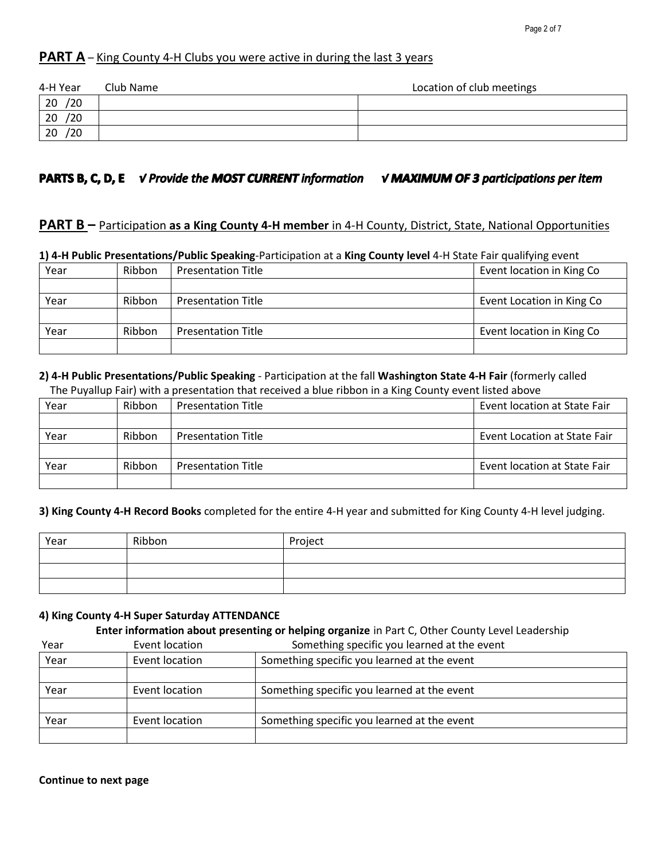## **PART A** – King County 4-H Clubs you were active in during the last 3 years

| 4-H Year            | Club Name | Location of club meetings |
|---------------------|-----------|---------------------------|
| $\overline{20}/20$  |           |                           |
| $\frac{20}{20}$ /20 |           |                           |
|                     |           |                           |
|                     |           |                           |

# **PARTS B, C, D, E**  $\check{V}$  Provide the MOST CURRENT information  $\check{V}$  MAXIMUM OF 3 participations per item

### **PART B** – Participation **as a King County 4-H member** in 4-H County, District, State, National Opportunities

| at a community construction of the second of the construction at a number of the second the state of the daminum control |        |                           |                            |
|--------------------------------------------------------------------------------------------------------------------------|--------|---------------------------|----------------------------|
| Year                                                                                                                     | Ribbon | <b>Presentation Title</b> | Event location in King Co  |
|                                                                                                                          |        |                           |                            |
| Year                                                                                                                     | Ribbon | <b>Presentation Title</b> | Event Location in King Co. |
|                                                                                                                          |        |                           |                            |
| Year                                                                                                                     | Ribbon | <b>Presentation Title</b> | Event location in King Co  |
|                                                                                                                          |        |                           |                            |

### **1) 4-H Public Presentations/Public Speaking**-Participation at a **King County level** 4-H State Fair qualifying event

#### **2) 4-H Public Presentations/Public Speaking** - Participation at the fall **Washington State 4-H Fair** (formerly called The Puyallup Fair) with a presentation that received a blue ribbon in a King County event listed above

| Year | Ribbon | <b>Presentation Title</b> | Event location at State Fair        |
|------|--------|---------------------------|-------------------------------------|
|      |        |                           |                                     |
| Year | Ribbon | <b>Presentation Title</b> | <b>Event Location at State Fair</b> |
|      |        |                           |                                     |
| Year | Ribbon | <b>Presentation Title</b> | Event location at State Fair        |
|      |        |                           |                                     |

#### **3) King County 4-H Record Books** completed for the entire 4-H year and submitted for King County 4-H level judging.

| Year | Ribbon | Project |
|------|--------|---------|
|      |        |         |
|      |        |         |
|      |        |         |

### **4) King County 4-H Super Saturday ATTENDANCE**

#### **Enter information about presenting or helping organize** in Part C, Other County Level Leadership

| Year | Event location | Something specific you learned at the event |  |
|------|----------------|---------------------------------------------|--|
| Year | Event location | Something specific you learned at the event |  |
|      |                |                                             |  |
| Year | Event location | Something specific you learned at the event |  |
|      |                |                                             |  |
| Year | Event location | Something specific you learned at the event |  |
|      |                |                                             |  |

**Continue to next page**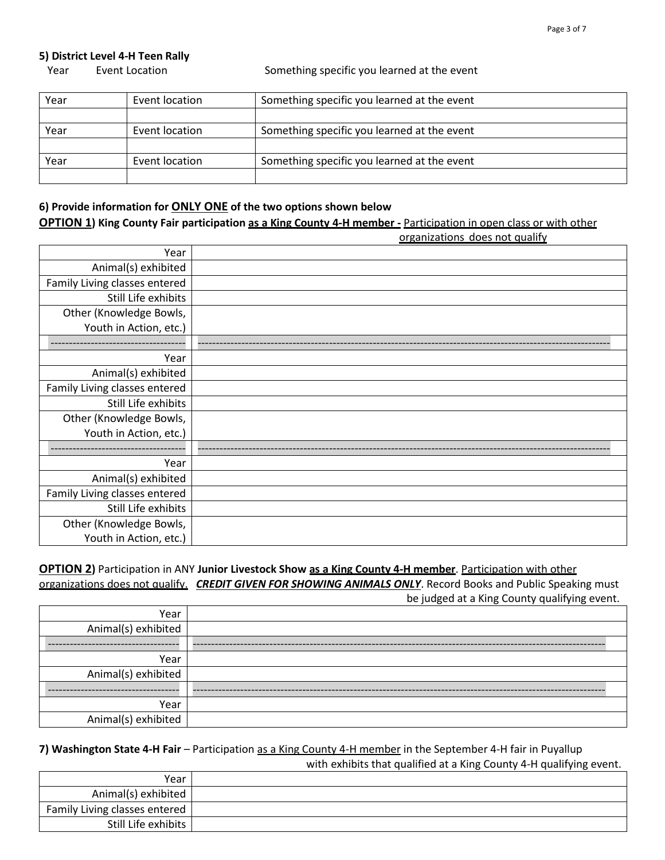#### **5) District Level 4-H Teen Rally**

Year Event Location Something specific you learned at the event

| Year | Event location | Something specific you learned at the event |  |
|------|----------------|---------------------------------------------|--|
|      |                |                                             |  |
| Year | Event location | Something specific you learned at the event |  |
|      |                |                                             |  |
| Year | Event location | Something specific you learned at the event |  |
|      |                |                                             |  |

### **6) Provide information for ONLY ONE of the two options shown below**

**OPTION 1) King County Fair participation as a King County 4-H member -** Participation in open class or with other

|                               | organizations does not qualify |
|-------------------------------|--------------------------------|
| Year                          |                                |
| Animal(s) exhibited           |                                |
| Family Living classes entered |                                |
| Still Life exhibits           |                                |
| Other (Knowledge Bowls,       |                                |
| Youth in Action, etc.)        |                                |
|                               |                                |
| Year                          |                                |
| Animal(s) exhibited           |                                |
| Family Living classes entered |                                |
| Still Life exhibits           |                                |
| Other (Knowledge Bowls,       |                                |
| Youth in Action, etc.)        |                                |
|                               |                                |
| Year                          |                                |
| Animal(s) exhibited           |                                |
| Family Living classes entered |                                |
| Still Life exhibits           |                                |
| Other (Knowledge Bowls,       |                                |
| Youth in Action, etc.)        |                                |

**OPTION 2)** Participation in ANY **Junior Livestock Show as a King County 4-H member**. Participation with other organizations does not qualify. *CREDIT GIVEN FOR SHOWING ANIMALS ONLY*. Record Books and Public Speaking must

be judged at a King County qualifying event.

| Year                |  |
|---------------------|--|
| Animal(s) exhibited |  |
|                     |  |
| Year                |  |
| Animal(s) exhibited |  |
|                     |  |
| Year                |  |
| Animal(s) exhibited |  |

**7) Washington State 4-H Fair** – Participation as a King County 4-H member in the September 4-H fair in Puyallup with exhibits that qualified at a King County 4-H qualifying event.

| Year                          |  |
|-------------------------------|--|
| Animal(s) exhibited $ $       |  |
| Family Living classes entered |  |
| Still Life exhibits           |  |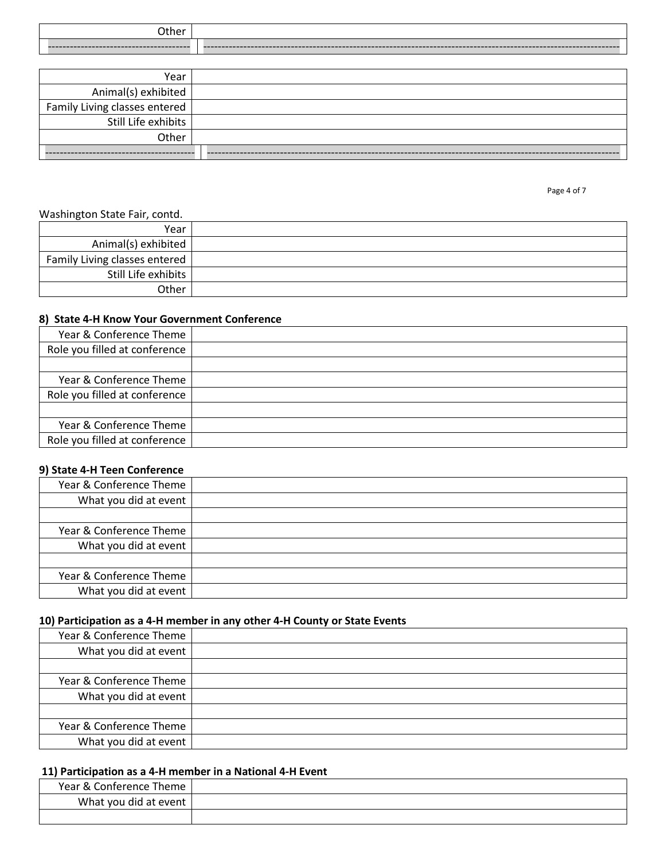| Other |  |
|-------|--|
|       |  |

| Year                          |  |
|-------------------------------|--|
| Animal(s) exhibited           |  |
| Family Living classes entered |  |
| Still Life exhibits           |  |
| Other                         |  |
|                               |  |

#### Washington State Fair, contd.

| -                             |  |
|-------------------------------|--|
| Year                          |  |
| Animal(s) exhibited           |  |
| Family Living classes entered |  |
| Still Life exhibits           |  |
| Other                         |  |

#### **8) State 4-H Know Your Government Conference**

| Year & Conference Theme       |  |
|-------------------------------|--|
| Role you filled at conference |  |
|                               |  |
| Year & Conference Theme       |  |
| Role you filled at conference |  |
|                               |  |
| Year & Conference Theme       |  |
| Role you filled at conference |  |

### **9) State 4-H Teen Conference**

| Year & Conference Theme |  |
|-------------------------|--|
| What you did at event   |  |
|                         |  |
| Year & Conference Theme |  |
| What you did at event   |  |
|                         |  |
| Year & Conference Theme |  |
| What you did at event   |  |
|                         |  |

### **10) Participation as a 4-H member in any other 4-H County or State Events**

| Year & Conference Theme |  |
|-------------------------|--|
| What you did at event   |  |
|                         |  |
| Year & Conference Theme |  |
| What you did at event   |  |
|                         |  |
| Year & Conference Theme |  |
| What you did at event   |  |

# **11) Participation as a 4-H member in a National 4-H Event**

| Year & Conference Theme |  |
|-------------------------|--|
| What you did at event   |  |
|                         |  |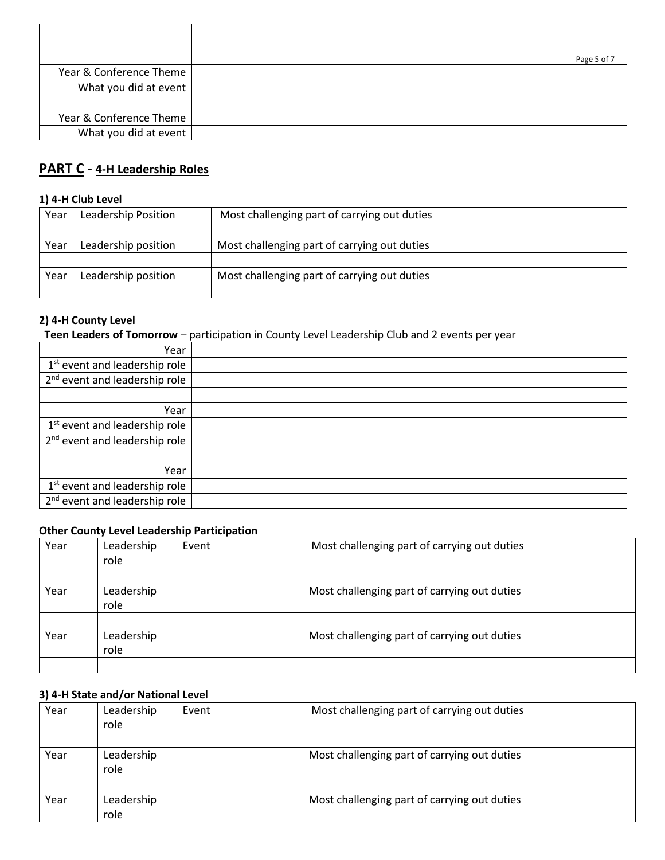|                         | Page 5 of 7 |
|-------------------------|-------------|
| Year & Conference Theme |             |
| What you did at event   |             |
|                         |             |
| Year & Conference Theme |             |
| What you did at event   |             |

# **PART C - 4-H Leadership Roles**

## **1) 4-H Club Level**

| Year | Leadership Position | Most challenging part of carrying out duties |  |
|------|---------------------|----------------------------------------------|--|
|      |                     |                                              |  |
| Year | Leadership position | Most challenging part of carrying out duties |  |
|      |                     |                                              |  |
| Year | Leadership position | Most challenging part of carrying out duties |  |
|      |                     |                                              |  |

# **2) 4-H County Level**

 **Teen Leaders of Tomorrow** – participation in County Level Leadership Club and 2 events per year

| Year                                      |  |
|-------------------------------------------|--|
| 1 <sup>st</sup> event and leadership role |  |
| 2 <sup>nd</sup> event and leadership role |  |
|                                           |  |
| Year                                      |  |
| 1 <sup>st</sup> event and leadership role |  |
| 2 <sup>nd</sup> event and leadership role |  |
|                                           |  |
| Year                                      |  |
| 1 <sup>st</sup> event and leadership role |  |
| 2 <sup>nd</sup> event and leadership role |  |

### **Other County Level Leadership Participation**

| Year | Leadership<br>role | Event | Most challenging part of carrying out duties |
|------|--------------------|-------|----------------------------------------------|
|      |                    |       |                                              |
| Year | Leadership<br>role |       | Most challenging part of carrying out duties |
|      |                    |       |                                              |
| Year | Leadership<br>role |       | Most challenging part of carrying out duties |
|      |                    |       |                                              |

# **3) 4-H State and/or National Level**

| Year | Leadership<br>role | Event | Most challenging part of carrying out duties |
|------|--------------------|-------|----------------------------------------------|
|      |                    |       |                                              |
| Year | Leadership<br>role |       | Most challenging part of carrying out duties |
|      |                    |       |                                              |
| Year | Leadership<br>role |       | Most challenging part of carrying out duties |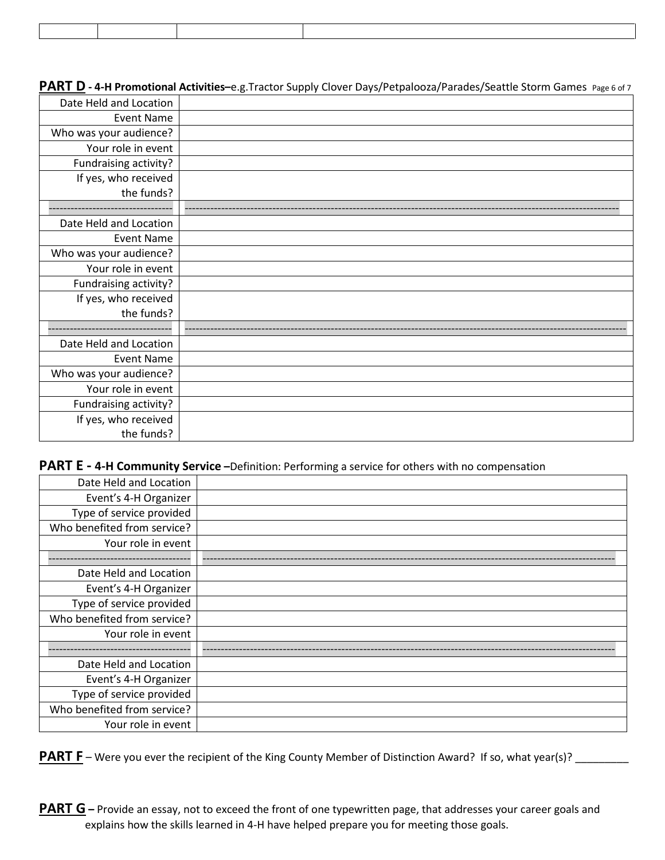**PART D - 4-H Promotional Activities-**e.g.Tractor Supply Clover Days/Petpalooza/Parades/Seattle Storm Games Page 6 of 7

| Date Held and Location |  |
|------------------------|--|
| <b>Event Name</b>      |  |
| Who was your audience? |  |
| Your role in event     |  |
| Fundraising activity?  |  |
| If yes, who received   |  |
| the funds?             |  |
|                        |  |
| Date Held and Location |  |
| <b>Event Name</b>      |  |
| Who was your audience? |  |
| Your role in event     |  |
| Fundraising activity?  |  |
| If yes, who received   |  |
| the funds?             |  |
|                        |  |
| Date Held and Location |  |
| <b>Event Name</b>      |  |
| Who was your audience? |  |
| Your role in event     |  |
| Fundraising activity?  |  |
| If yes, who received   |  |
| the funds?             |  |

# **PART E - 4-H Community Service –**Definition: Performing a service for others with no compensation

| Date Held and Location      |  |
|-----------------------------|--|
| Event's 4-H Organizer       |  |
| Type of service provided    |  |
| Who benefited from service? |  |
| Your role in event          |  |
|                             |  |
| Date Held and Location      |  |
| Event's 4-H Organizer       |  |
| Type of service provided    |  |
| Who benefited from service? |  |
| Your role in event          |  |
|                             |  |
| Date Held and Location      |  |
| Event's 4-H Organizer       |  |
| Type of service provided    |  |
| Who benefited from service? |  |
| Your role in event          |  |

**PART F** – Were you ever the recipient of the King County Member of Distinction Award? If so, what year(s)? \_\_\_\_\_\_\_

**PART G** – Provide an essay, not to exceed the front of one typewritten page, that addresses your career goals and explains how the skills learned in 4-H have helped prepare you for meeting those goals.